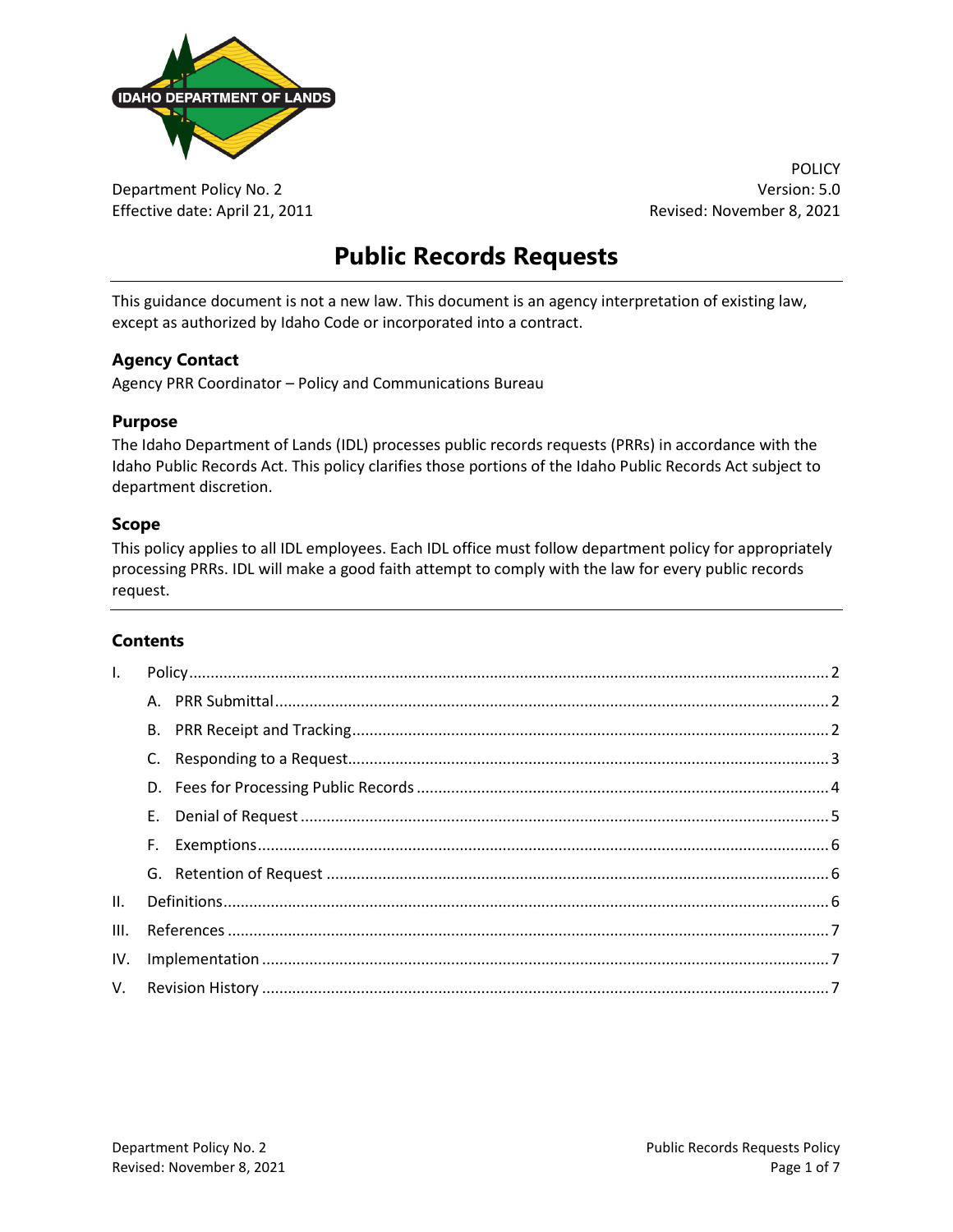

Department Policy No. 2 Version: 5.0 Effective date: April 21, 2011 **Revised: November 8, 2021** Revised: November 8, 2021

POLICY

# **Public Records Requests**

This guidance document is not a new law. This document is an agency interpretation of existing law, except as authorized by Idaho Code or incorporated into a contract.

#### **Agency Contact**

Agency PRR Coordinator – Policy and Communications Bureau

#### **Purpose**

The Idaho Department of Lands (IDL) processes public records requests (PRRs) in accordance with the Idaho Public Records Act. This policy clarifies those portions of the Idaho Public Records Act subject to department discretion.

#### **Scope**

This policy applies to all IDL employees. Each IDL office must follow department policy for appropriately processing PRRs. IDL will make a good faith attempt to comply with the law for every public records request.

#### **Contents**

| $\mathsf{L}$ |    |  |
|--------------|----|--|
|              |    |  |
|              |    |  |
|              |    |  |
|              |    |  |
|              | E. |  |
|              | F. |  |
|              |    |  |
| II.          |    |  |
| III.         |    |  |
| IV.          |    |  |
|              |    |  |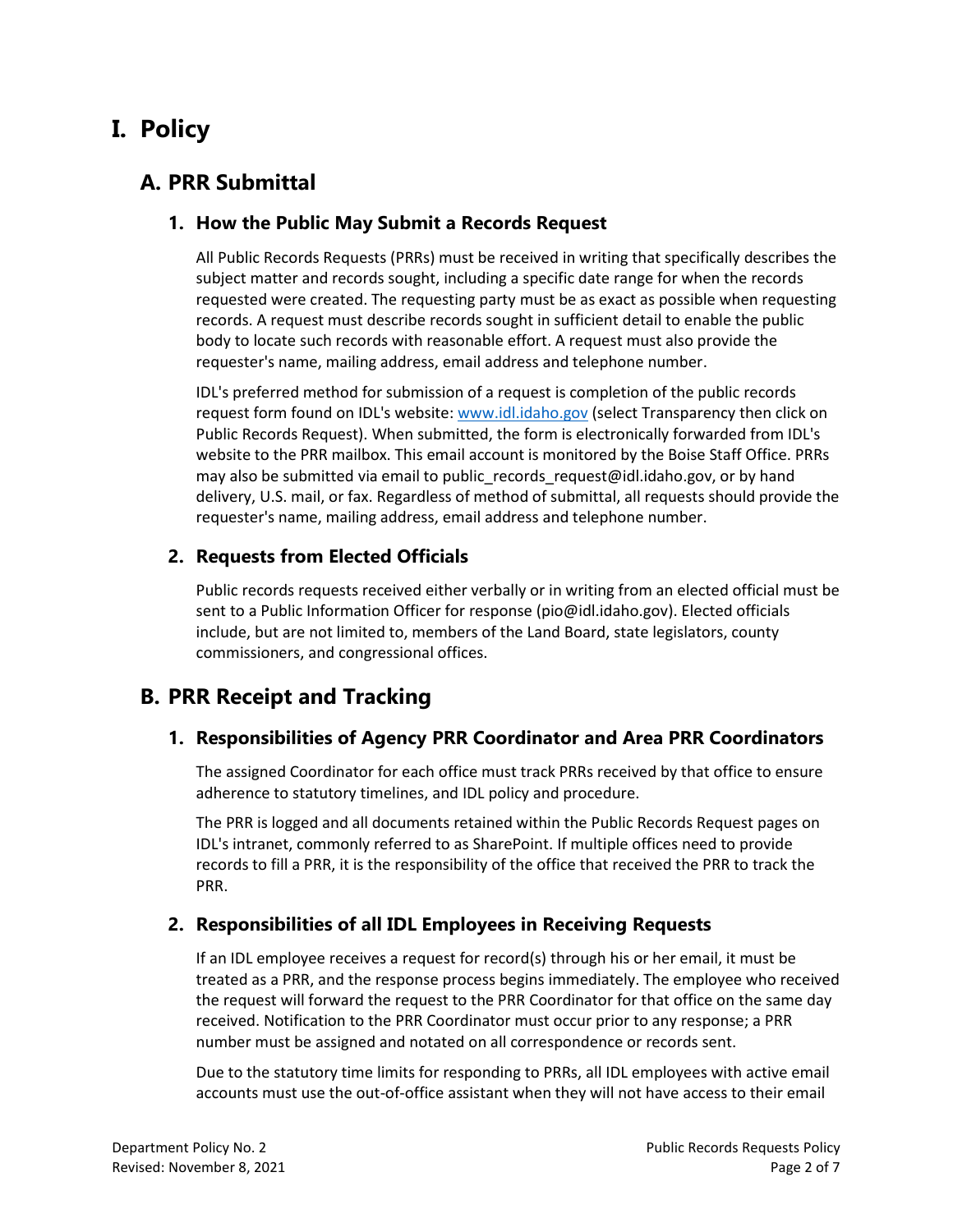# <span id="page-1-0"></span>**I. Policy**

## <span id="page-1-1"></span>**A. PRR Submittal**

#### **1. How the Public May Submit a Records Request**

All Public Records Requests (PRRs) must be received in writing that specifically describes the subject matter and records sought, including a specific date range for when the records requested were created. The requesting party must be as exact as possible when requesting records. A request must describe records sought in sufficient detail to enable the public body to locate such records with reasonable effort. A request must also provide the requester's name, mailing address, email address and telephone number.

IDL's preferred method for submission of a request is completion of the public records request form found on IDL's website: [www.idl.idaho.gov](http://www.idl.idaho.gov/) (select Transparency then click on Public Records Request). When submitted, the form is electronically forwarded from IDL's website to the PRR mailbox. This email account is monitored by the Boise Staff Office. PRRs may also be submitted via email to public records request@idl.idaho.gov, or by hand delivery, U.S. mail, or fax. Regardless of method of submittal, all requests should provide the requester's name, mailing address, email address and telephone number.

#### **2. Requests from Elected Officials**

Public records requests received either verbally or in writing from an elected official must be sent to a Public Information Officer for response (pio@idl.idaho.gov). Elected officials include, but are not limited to, members of the Land Board, state legislators, county commissioners, and congressional offices.

## <span id="page-1-2"></span>**B. PRR Receipt and Tracking**

#### **1. Responsibilities of Agency PRR Coordinator and Area PRR Coordinators**

The assigned Coordinator for each office must track PRRs received by that office to ensure adherence to statutory timelines, and IDL policy and procedure.

The PRR is logged and all documents retained within the Public Records Request pages on IDL's intranet, commonly referred to as SharePoint. If multiple offices need to provide records to fill a PRR, it is the responsibility of the office that received the PRR to track the PRR.

#### **2. Responsibilities of all IDL Employees in Receiving Requests**

If an IDL employee receives a request for record(s) through his or her email, it must be treated as a PRR, and the response process begins immediately. The employee who received the request will forward the request to the PRR Coordinator for that office on the same day received. Notification to the PRR Coordinator must occur prior to any response; a PRR number must be assigned and notated on all correspondence or records sent.

Due to the statutory time limits for responding to PRRs, all IDL employees with active email accounts must use the out-of-office assistant when they will not have access to their email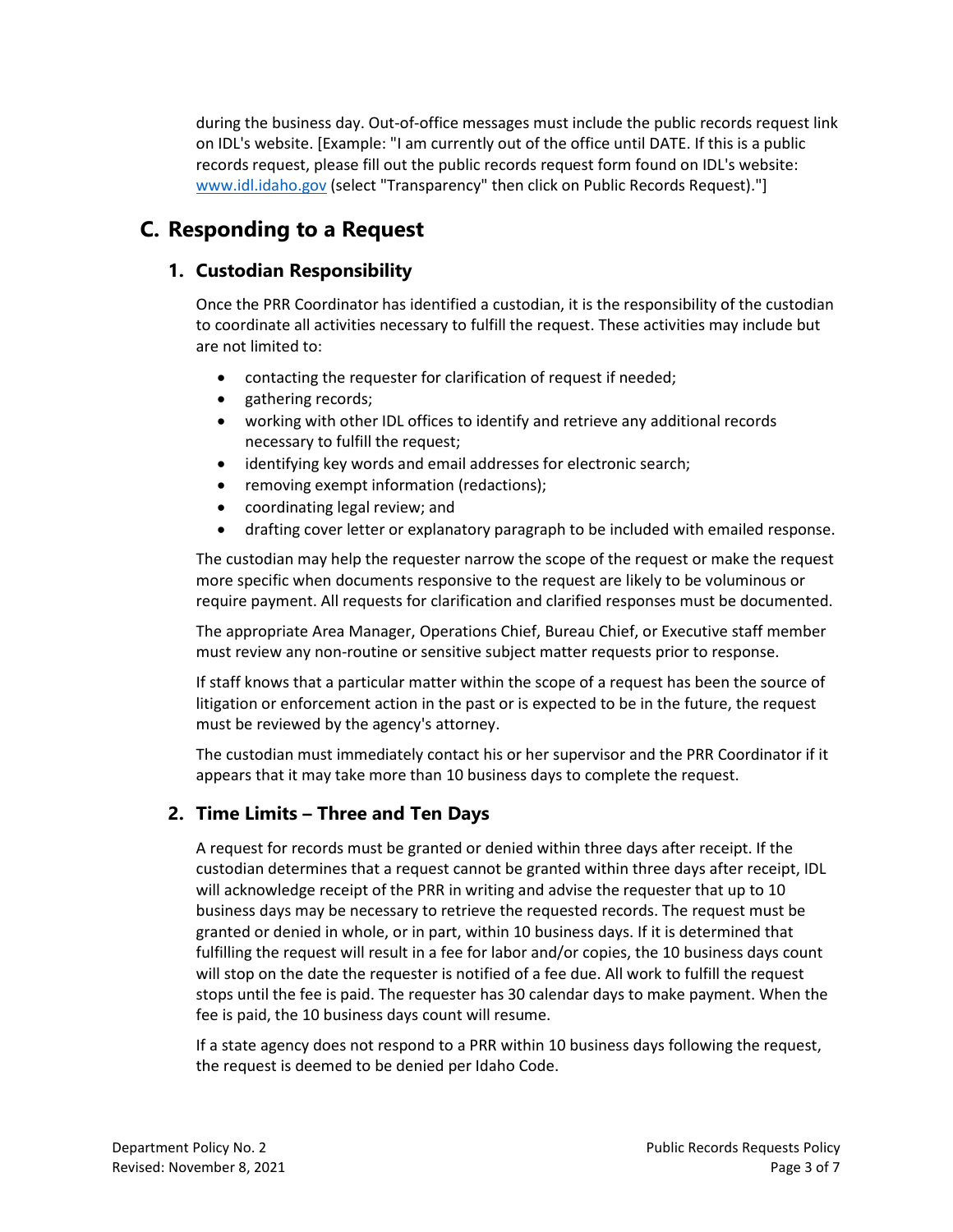during the business day. Out-of-office messages must include the public records request link on IDL's website. [Example: "I am currently out of the office until DATE. If this is a public records request, please fill out the public records request form found on IDL's website: [www.idl.idaho.gov](http://www.idl.idaho.gov/) (select "Transparency" then click on Public Records Request)."]

## <span id="page-2-0"></span>**C. Responding to a Request**

#### **1. Custodian Responsibility**

Once the PRR Coordinator has identified a custodian, it is the responsibility of the custodian to coordinate all activities necessary to fulfill the request. These activities may include but are not limited to:

- contacting the requester for clarification of request if needed;
- gathering records;
- working with other IDL offices to identify and retrieve any additional records necessary to fulfill the request;
- identifying key words and email addresses for electronic search;
- removing exempt information (redactions);
- coordinating legal review; and
- drafting cover letter or explanatory paragraph to be included with emailed response.

The custodian may help the requester narrow the scope of the request or make the request more specific when documents responsive to the request are likely to be voluminous or require payment. All requests for clarification and clarified responses must be documented.

The appropriate Area Manager, Operations Chief, Bureau Chief, or Executive staff member must review any non-routine or sensitive subject matter requests prior to response.

If staff knows that a particular matter within the scope of a request has been the source of litigation or enforcement action in the past or is expected to be in the future, the request must be reviewed by the agency's attorney.

The custodian must immediately contact his or her supervisor and the PRR Coordinator if it appears that it may take more than 10 business days to complete the request.

#### **2. Time Limits – Three and Ten Days**

A request for records must be granted or denied within three days after receipt. If the custodian determines that a request cannot be granted within three days after receipt, IDL will acknowledge receipt of the PRR in writing and advise the requester that up to 10 business days may be necessary to retrieve the requested records. The request must be granted or denied in whole, or in part, within 10 business days. If it is determined that fulfilling the request will result in a fee for labor and/or copies, the 10 business days count will stop on the date the requester is notified of a fee due. All work to fulfill the request stops until the fee is paid. The requester has 30 calendar days to make payment. When the fee is paid, the 10 business days count will resume.

If a state agency does not respond to a PRR within 10 business days following the request, the request is deemed to be denied per Idaho Code.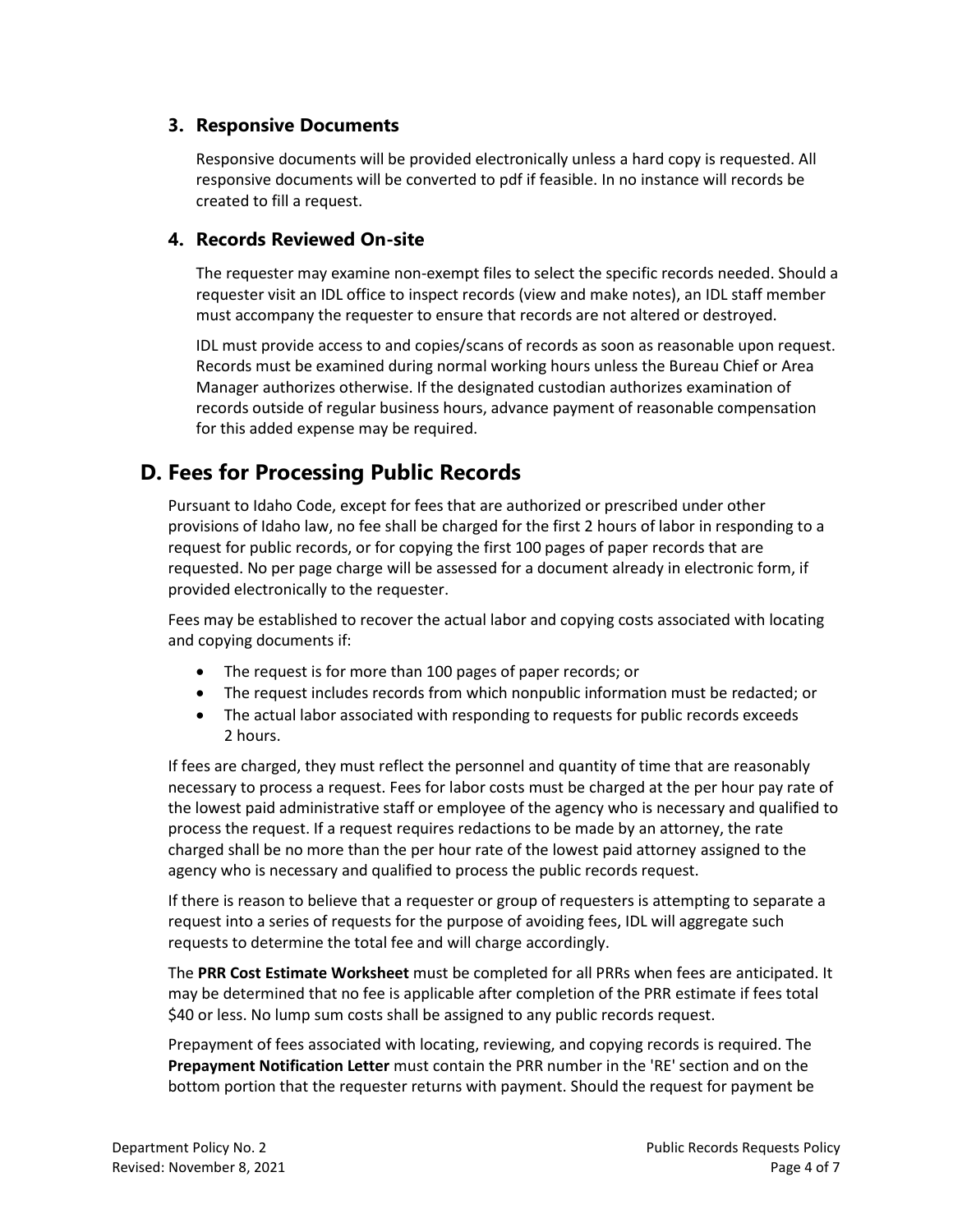#### **3. Responsive Documents**

Responsive documents will be provided electronically unless a hard copy is requested. All responsive documents will be converted to pdf if feasible. In no instance will records be created to fill a request.

#### **4. Records Reviewed On-site**

The requester may examine non-exempt files to select the specific records needed. Should a requester visit an IDL office to inspect records (view and make notes), an IDL staff member must accompany the requester to ensure that records are not altered or destroyed.

IDL must provide access to and copies/scans of records as soon as reasonable upon request. Records must be examined during normal working hours unless the Bureau Chief or Area Manager authorizes otherwise. If the designated custodian authorizes examination of records outside of regular business hours, advance payment of reasonable compensation for this added expense may be required.

## <span id="page-3-0"></span>**D. Fees for Processing Public Records**

Pursuant to Idaho Code, except for fees that are authorized or prescribed under other provisions of Idaho law, no fee shall be charged for the first 2 hours of labor in responding to a request for public records, or for copying the first 100 pages of paper records that are requested. No per page charge will be assessed for a document already in electronic form, if provided electronically to the requester.

Fees may be established to recover the actual labor and copying costs associated with locating and copying documents if:

- The request is for more than 100 pages of paper records; or
- The request includes records from which nonpublic information must be redacted; or
- The actual labor associated with responding to requests for public records exceeds 2 hours.

If fees are charged, they must reflect the personnel and quantity of time that are reasonably necessary to process a request. Fees for labor costs must be charged at the per hour pay rate of the lowest paid administrative staff or employee of the agency who is necessary and qualified to process the request. If a request requires redactions to be made by an attorney, the rate charged shall be no more than the per hour rate of the lowest paid attorney assigned to the agency who is necessary and qualified to process the public records request.

If there is reason to believe that a requester or group of requesters is attempting to separate a request into a series of requests for the purpose of avoiding fees, IDL will aggregate such requests to determine the total fee and will charge accordingly.

The **PRR Cost Estimate Worksheet** must be completed for all PRRs when fees are anticipated. It may be determined that no fee is applicable after completion of the PRR estimate if fees total \$40 or less. No lump sum costs shall be assigned to any public records request.

Prepayment of fees associated with locating, reviewing, and copying records is required. The **Prepayment Notification Letter** must contain the PRR number in the 'RE' section and on the bottom portion that the requester returns with payment. Should the request for payment be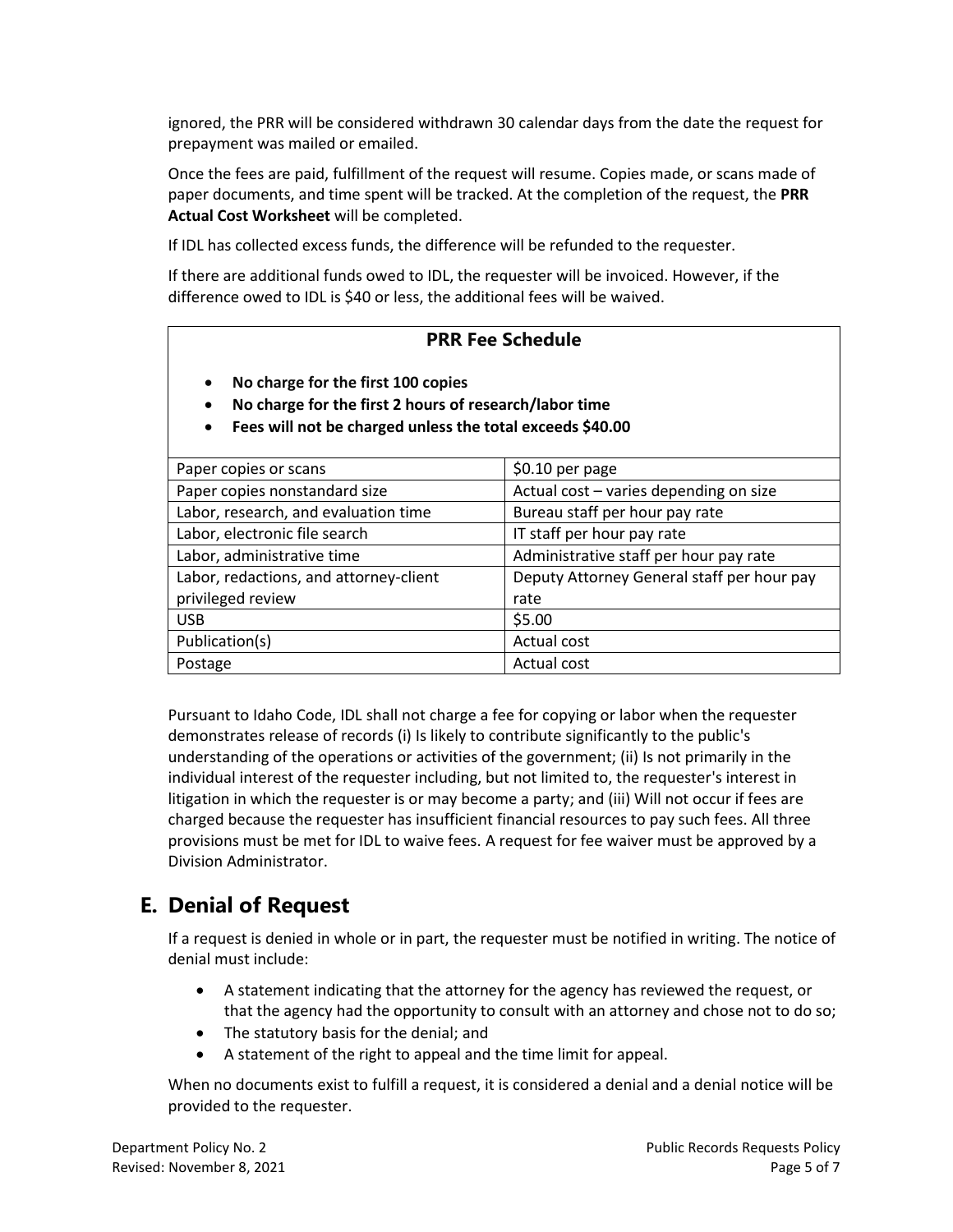ignored, the PRR will be considered withdrawn 30 calendar days from the date the request for prepayment was mailed or emailed.

Once the fees are paid, fulfillment of the request will resume. Copies made, or scans made of paper documents, and time spent will be tracked. At the completion of the request, the **PRR Actual Cost Worksheet** will be completed.

If IDL has collected excess funds, the difference will be refunded to the requester.

If there are additional funds owed to IDL, the requester will be invoiced. However, if the difference owed to IDL is \$40 or less, the additional fees will be waived.

#### **PRR Fee Schedule**

- **No charge for the first 100 copies**
- **No charge for the first 2 hours of research/labor time**
- **Fees will not be charged unless the total exceeds \$40.00**

| Paper copies or scans                  | $$0.10$ per page                           |  |  |
|----------------------------------------|--------------------------------------------|--|--|
| Paper copies nonstandard size          | Actual cost - varies depending on size     |  |  |
| Labor, research, and evaluation time   | Bureau staff per hour pay rate             |  |  |
| Labor, electronic file search          | IT staff per hour pay rate                 |  |  |
| Labor, administrative time             | Administrative staff per hour pay rate     |  |  |
| Labor, redactions, and attorney-client | Deputy Attorney General staff per hour pay |  |  |
| privileged review                      | rate                                       |  |  |
| <b>USB</b>                             | \$5.00                                     |  |  |
| Publication(s)                         | Actual cost                                |  |  |
| Postage                                | Actual cost                                |  |  |

Pursuant to Idaho Code, IDL shall not charge a fee for copying or labor when the requester demonstrates release of records (i) Is likely to contribute significantly to the public's understanding of the operations or activities of the government; (ii) Is not primarily in the individual interest of the requester including, but not limited to, the requester's interest in litigation in which the requester is or may become a party; and (iii) Will not occur if fees are charged because the requester has insufficient financial resources to pay such fees. All three provisions must be met for IDL to waive fees. A request for fee waiver must be approved by a Division Administrator.

## <span id="page-4-0"></span>**E. Denial of Request**

If a request is denied in whole or in part, the requester must be notified in writing. The notice of denial must include:

- A statement indicating that the attorney for the agency has reviewed the request, or that the agency had the opportunity to consult with an attorney and chose not to do so;
- The statutory basis for the denial; and
- A statement of the right to appeal and the time limit for appeal.

When no documents exist to fulfill a request, it is considered a denial and a denial notice will be provided to the requester.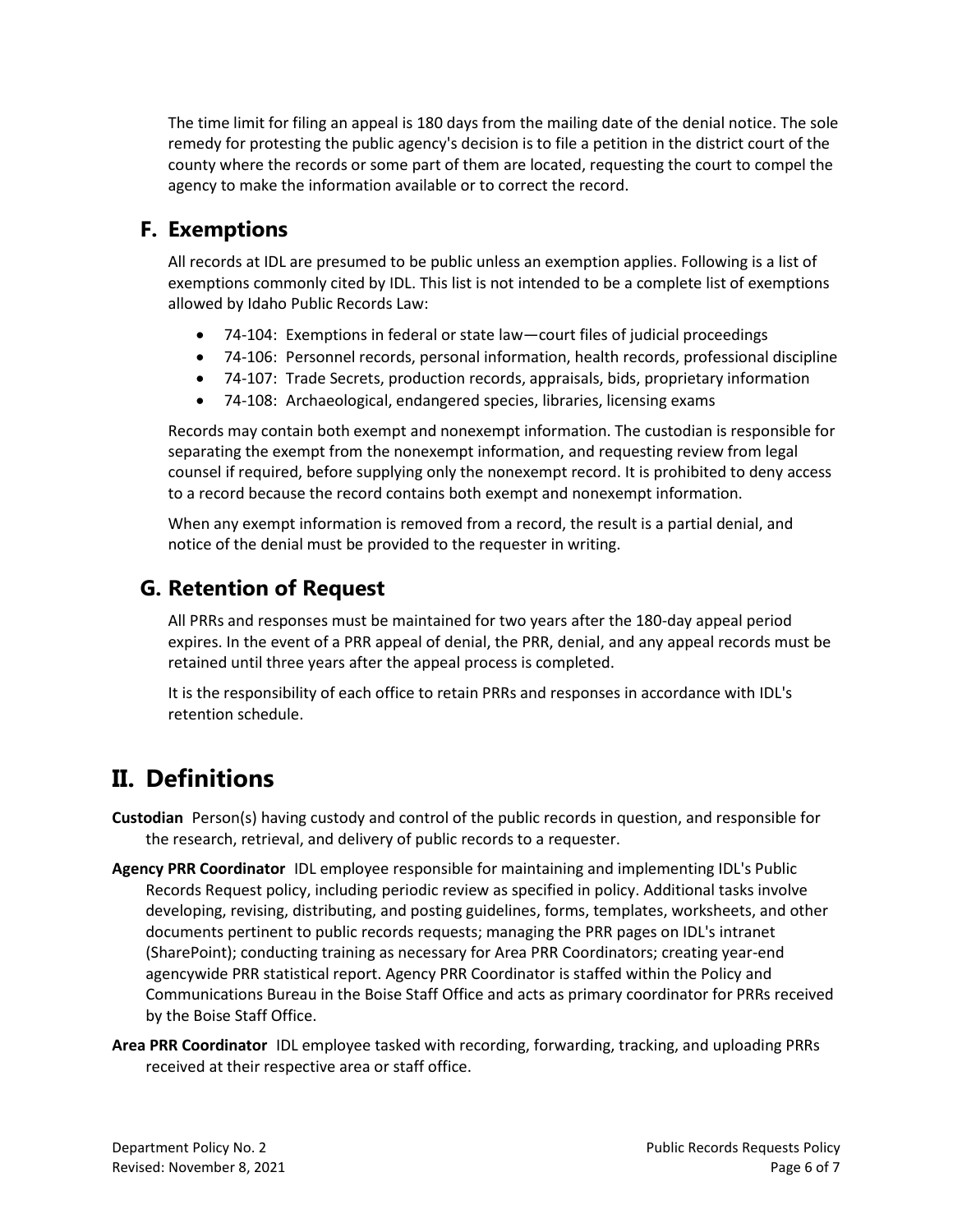The time limit for filing an appeal is 180 days from the mailing date of the denial notice. The sole remedy for protesting the public agency's decision is to file a petition in the district court of the county where the records or some part of them are located, requesting the court to compel the agency to make the information available or to correct the record.

## <span id="page-5-0"></span>**F. Exemptions**

All records at IDL are presumed to be public unless an exemption applies. Following is a list of exemptions commonly cited by IDL. This list is not intended to be a complete list of exemptions allowed by Idaho Public Records Law:

- 74-104: Exemptions in federal or state law—court files of judicial proceedings
- 74-106: Personnel records, personal information, health records, professional discipline
- 74-107: Trade Secrets, production records, appraisals, bids, proprietary information
- 74-108: Archaeological, endangered species, libraries, licensing exams

Records may contain both exempt and nonexempt information. The custodian is responsible for separating the exempt from the nonexempt information, and requesting review from legal counsel if required, before supplying only the nonexempt record. It is prohibited to deny access to a record because the record contains both exempt and nonexempt information.

When any exempt information is removed from a record, the result is a partial denial, and notice of the denial must be provided to the requester in writing.

## <span id="page-5-1"></span>**G. Retention of Request**

All PRRs and responses must be maintained for two years after the 180-day appeal period expires. In the event of a PRR appeal of denial, the PRR, denial, and any appeal records must be retained until three years after the appeal process is completed.

It is the responsibility of each office to retain PRRs and responses in accordance with IDL's retention schedule.

# <span id="page-5-2"></span>**II. Definitions**

**Custodian** Person(s) having custody and control of the public records in question, and responsible for the research, retrieval, and delivery of public records to a requester.

- **Agency PRR Coordinator** IDL employee responsible for maintaining and implementing IDL's Public Records Request policy, including periodic review as specified in policy. Additional tasks involve developing, revising, distributing, and posting guidelines, forms, templates, worksheets, and other documents pertinent to public records requests; managing the PRR pages on IDL's intranet (SharePoint); conducting training as necessary for Area PRR Coordinators; creating year-end agencywide PRR statistical report. Agency PRR Coordinator is staffed within the Policy and Communications Bureau in the Boise Staff Office and acts as primary coordinator for PRRs received by the Boise Staff Office.
- **Area PRR Coordinator** IDL employee tasked with recording, forwarding, tracking, and uploading PRRs received at their respective area or staff office.